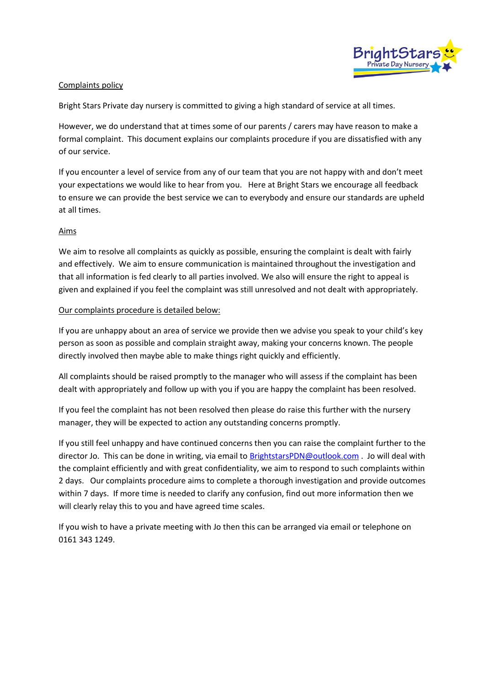

## Complaints policy

Bright Stars Private day nursery is committed to giving a high standard of service at all times.

However, we do understand that at times some of our parents / carers may have reason to make a formal complaint. This document explains our complaints procedure if you are dissatisfied with any of our service.

If you encounter a level of service from any of our team that you are not happy with and don't meet your expectations we would like to hear from you. Here at Bright Stars we encourage all feedback to ensure we can provide the best service we can to everybody and ensure our standards are upheld at all times.

## Aims

We aim to resolve all complaints as quickly as possible, ensuring the complaint is dealt with fairly and effectively. We aim to ensure communication is maintained throughout the investigation and that all information is fed clearly to all parties involved. We also will ensure the right to appeal is given and explained if you feel the complaint was still unresolved and not dealt with appropriately.

## Our complaints procedure is detailed below:

If you are unhappy about an area of service we provide then we advise you speak to your child's key person as soon as possible and complain straight away, making your concerns known. The people directly involved then maybe able to make things right quickly and efficiently.

All complaints should be raised promptly to the manager who will assess if the complaint has been dealt with appropriately and follow up with you if you are happy the complaint has been resolved.

If you feel the complaint has not been resolved then please do raise this further with the nursery manager, they will be expected to action any outstanding concerns promptly.

If you still feel unhappy and have continued concerns then you can raise the complaint further to the director Jo. This can be done in writing, via email to [BrightstarsPDN@outlook.com](mailto:BrightstarsPDN@outlook.com) . Jo will deal with the complaint efficiently and with great confidentiality, we aim to respond to such complaints within 2 days. Our complaints procedure aims to complete a thorough investigation and provide outcomes within 7 days. If more time is needed to clarify any confusion, find out more information then we will clearly relay this to you and have agreed time scales.

If you wish to have a private meeting with Jo then this can be arranged via email or telephone on 0161 343 1249.